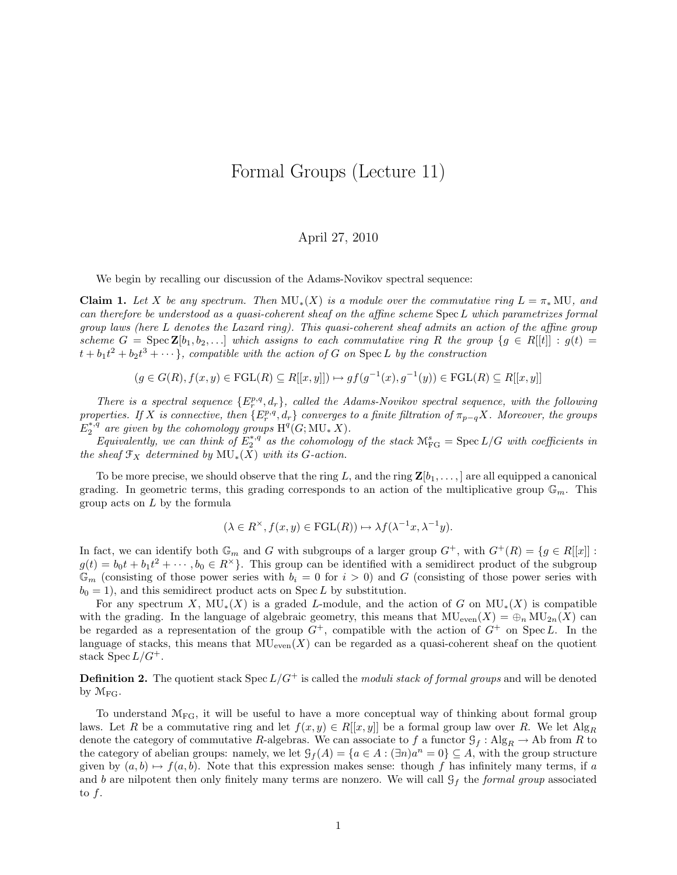## Formal Groups (Lecture 11)

## April 27, 2010

We begin by recalling our discussion of the Adams-Novikov spectral sequence:

**Claim 1.** Let X be any spectrum. Then  $MU_*(X)$  is a module over the commutative ring  $L = \pi_* MU$ , and can therefore be understood as a quasi-coherent sheaf on the affine scheme SpecL which parametrizes formal group laws (here L denotes the Lazard ring). This quasi-coherent sheaf admits an action of the affine group scheme  $G = \text{Spec } \mathbf{Z}[b_1, b_2, \ldots]$  which assigns to each commutative ring R the group  $\{g \in R[[t]] : g(t) =$  $t + b_1t^2 + b_2t^3 + \cdots$ , compatible with the action of G on Spec L by the construction

 $(g \in G(R), f(x, y) \in FGL(R) \subseteq R[[x, y]]) \mapsto gf(g^{-1}(x), g^{-1}(y)) \in FGL(R) \subseteq R[[x, y]]$ 

There is a spectral sequence  $\{E_r^{p,q}, d_r\}$ , called the Adams-Novikov spectral sequence, with the following properties. If X is connective, then  $\{E_r^{p,q}, d_r\}$  converges to a finite filtration of  $\pi_{p-q}X$ . Moreover, the groups  $E_2^{*,q}$  are given by the cohomology groups  $\mathrm{H}^q(G;\mathrm{MU}_*|X)$ .

Equivalently, we can think of  $E_2^{*,q}$  as the cohomology of the stack  $\mathcal{M}_{FG}^s = \text{Spec } L/G$  with coefficients in the sheaf  $\mathfrak{F}_X$  determined by  $MU_*(X)$  with its G-action.

To be more precise, we should observe that the ring L, and the ring  $\mathbf{Z}[b_1, \ldots]$  are all equipped a canonical grading. In geometric terms, this grading corresponds to an action of the multiplicative group  $\mathbb{G}_m$ . This group acts on L by the formula

$$
(\lambda \in R^{\times}, f(x, y) \in \mathrm{FGL}(R)) \mapsto \lambda f(\lambda^{-1}x, \lambda^{-1}y).
$$

In fact, we can identify both  $\mathbb{G}_m$  and G with subgroups of a larger group  $G^+$ , with  $G^+(R) = \{g \in R[[x]] :$  $g(t) = b_0 t + b_1 t^2 + \cdots, b_0 \in R^{\times}$ . This group can be identified with a semidirect product of the subgroup  $\mathbb{G}_m$  (consisting of those power series with  $b_i = 0$  for  $i > 0$ ) and G (consisting of those power series with  $b_0 = 1$ , and this semidirect product acts on Spec L by substitution.

For any spectrum X,  $MU_*(X)$  is a graded L-module, and the action of G on  $MU_*(X)$  is compatible with the grading. In the language of algebraic geometry, this means that  $MU_{even}(X) = \bigoplus_n MU_{2n}(X)$  can be regarded as a representation of the group  $G^+$ , compatible with the action of  $G^+$  on Spec L. In the language of stacks, this means that  $\text{MU}_{\text{even}}(X)$  can be regarded as a quasi-coherent sheaf on the quotient stack Spec  $L/G^+$ .

**Definition 2.** The quotient stack Spec  $L/G^+$  is called the moduli stack of formal groups and will be denoted by  $\mathcal{M}_{\text{FG}}$ .

To understand  $\mathcal{M}_{FG}$ , it will be useful to have a more conceptual way of thinking about formal group laws. Let R be a commutative ring and let  $f(x, y) \in R[[x, y]]$  be a formal group law over R. We let  $\text{Alg}_R$ denote the category of commutative R-algebras. We can associate to f a functor  $\mathcal{G}_f$ : Alg $_R \to$  Ab from R to the category of abelian groups: namely, we let  $\mathcal{G}_f(A) = \{a \in A : (\exists n)a^n = 0\} \subseteq A$ , with the group structure given by  $(a, b) \mapsto f(a, b)$ . Note that this expression makes sense: though f has infinitely many terms, if a and b are nilpotent then only finitely many terms are nonzero. We will call  $\mathcal{G}_f$  the formal group associated to  $f$ .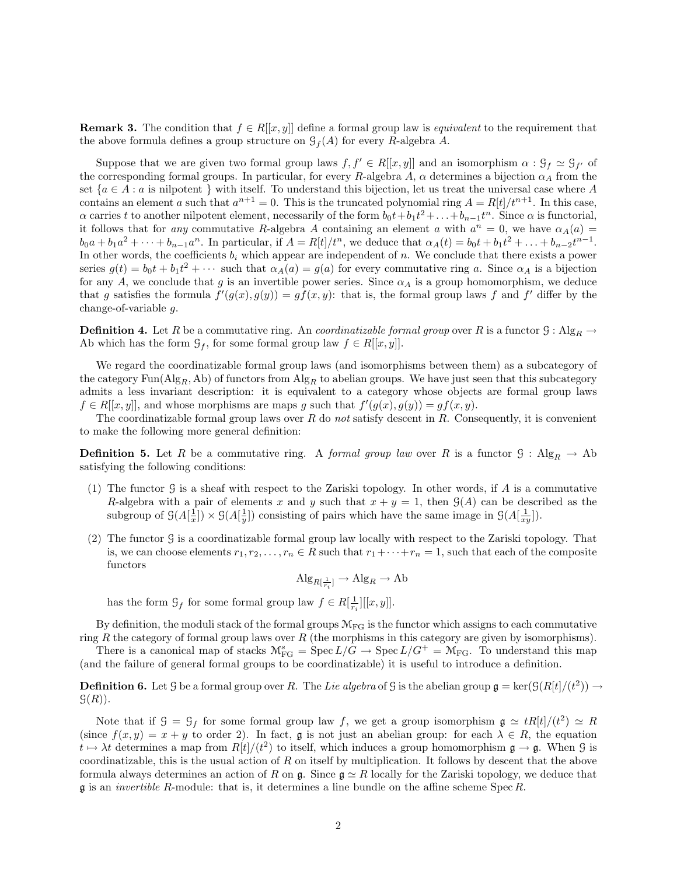**Remark 3.** The condition that  $f \in R[[x, y]]$  define a formal group law is *equivalent* to the requirement that the above formula defines a group structure on  $\mathcal{G}_f(A)$  for every R-algebra A.

Suppose that we are given two formal group laws  $f, f' \in R[[x, y]]$  and an isomorphism  $\alpha : \mathcal{G}_f \simeq \mathcal{G}_{f'}$  of the corresponding formal groups. In particular, for every R-algebra A,  $\alpha$  determines a bijection  $\alpha_A$  from the set  ${a \in A : a \text{ is nilpotent } }$  with itself. To understand this bijection, let us treat the universal case where A contains an element a such that  $a^{n+1} = 0$ . This is the truncated polynomial ring  $A = R[t]/t^{n+1}$ . In this case,  $\alpha$  carries t to another nilpotent element, necessarily of the form  $b_0t + b_1t^2 + \ldots + b_{n-1}t^n$ . Since  $\alpha$  is functorial, it follows that for *any* commutative R-algebra A containing an element a with  $a^n = 0$ , we have  $\alpha_A(a) =$  $b_0a + b_1a^2 + \cdots + b_{n-1}a^n$ . In particular, if  $A = R[t]/t^n$ , we deduce that  $\alpha_A(t) = b_0t + b_1t^2 + \ldots + b_{n-2}t^{n-1}$ . In other words, the coefficients  $b_i$  which appear are independent of n. We conclude that there exists a power series  $g(t) = b_0 t + b_1 t^2 + \cdots$  such that  $\alpha_A(a) = g(a)$  for every commutative ring a. Since  $\alpha_A$  is a bijection for any A, we conclude that g is an invertible power series. Since  $\alpha_A$  is a group homomorphism, we deduce that g satisfies the formula  $f'(g(x), g(y)) = gf(x, y)$ : that is, the formal group laws f and f' differ by the change-of-variable g.

**Definition 4.** Let R be a commutative ring. An *coordinatizable formal group* over R is a functor  $G : Alg_R \rightarrow$ Ab which has the form  $\mathcal{G}_f$ , for some formal group law  $f \in R[[x, y]]$ .

We regard the coordinatizable formal group laws (and isomorphisms between them) as a subcategory of the category  $\text{Fun}(\text{Alg}_R, \text{Ab})$  of functors from  $\text{Alg}_R$  to abelian groups. We have just seen that this subcategory admits a less invariant description: it is equivalent to a category whose objects are formal group laws  $f \in R[[x, y]]$ , and whose morphisms are maps g such that  $f'(g(x), g(y)) = gf(x, y)$ .

The coordinatizable formal group laws over  $R$  do not satisfy descent in  $R$ . Consequently, it is convenient to make the following more general definition:

**Definition 5.** Let R be a commutative ring. A formal group law over R is a functor  $\mathcal{G}: \text{Alg}_R \to \text{Ab}$ satisfying the following conditions:

- (1) The functor G is a sheaf with respect to the Zariski topology. In other words, if A is a commutative R-algebra with a pair of elements x and y such that  $x + y = 1$ , then  $\mathcal{G}(A)$  can be described as the subgroup of  $\mathcal{G}(A[\frac{1}{x}]) \times \mathcal{G}(A[\frac{1}{y}])$  consisting of pairs which have the same image in  $\mathcal{G}(A[\frac{1}{xy}])$ .
- (2) The functor G is a coordinatizable formal group law locally with respect to the Zariski topology. That is, we can choose elements  $r_1, r_2, \ldots, r_n \in R$  such that  $r_1 + \cdots + r_n = 1$ , such that each of the composite functors

 $\operatorname{Alg}_{R[\frac{1}{r_i}]} \to \operatorname{Alg}_R \to \operatorname{Ab}$ 

has the form  $\mathcal{G}_f$  for some formal group law  $f \in R[\frac{1}{r_i}][[x, y]].$ 

By definition, the moduli stack of the formal groups  $\mathcal{M}_{FG}$  is the functor which assigns to each commutative ring R the category of formal group laws over R (the morphisms in this category are given by isomorphisms).

There is a canonical map of stacks  $\mathcal{M}_{FG}^s = \text{Spec } L/\bar{G} \to \text{Spec } L/G^+ = \mathcal{M}_{FG}$ . To understand this map (and the failure of general formal groups to be coordinatizable) it is useful to introduce a definition.

**Definition 6.** Let G be a formal group over R. The Lie algebra of G is the abelian group  $\mathfrak{g} = \text{ker}(\mathcal{G}(R[t]/(t^2)) \to$  $\mathcal{G}(R)$ ).

Note that if  $\mathcal{G} = \mathcal{G}_f$  for some formal group law f, we get a group isomorphism  $\mathfrak{g} \simeq tR[t]/(t^2) \simeq R$ (since  $f(x, y) = x + y$  to order 2). In fact, g is not just an abelian group: for each  $\lambda \in R$ , the equation  $t \mapsto \lambda t$  determines a map from  $R[t]/(t^2)$  to itself, which induces a group homomorphism  $\mathfrak{g} \to \mathfrak{g}$ . When  $\mathfrak{G}$  is coordinatizable, this is the usual action of  $R$  on itself by multiplication. It follows by descent that the above formula always determines an action of R on g. Since  $g \simeq R$  locally for the Zariski topology, we deduce that  $\mathfrak g$  is an *invertible R*-module: that is, it determines a line bundle on the affine scheme Spec R.